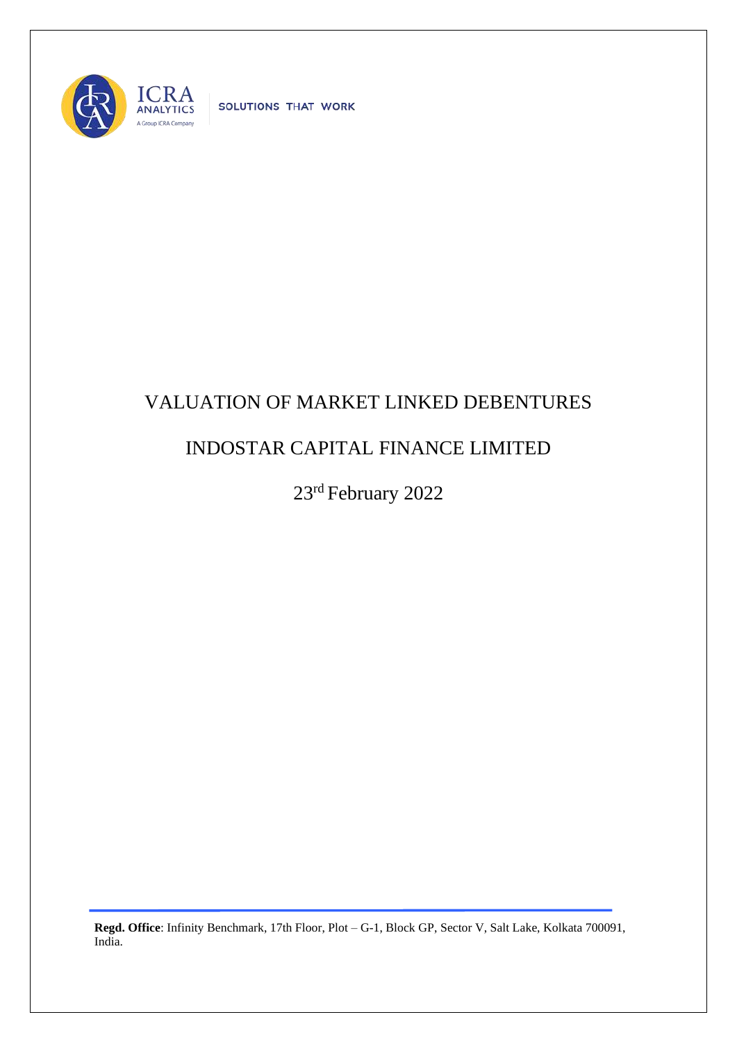

SOLUTIONS THAT WORK

## VALUATION OF MARKET LINKED DEBENTURES

## INDOSTAR CAPITAL FINANCE LIMITED

23rd February 2022

**Regd. Office**: Infinity Benchmark, 17th Floor, Plot – G-1, Block GP, Sector V, Salt Lake, Kolkata 700091, India.